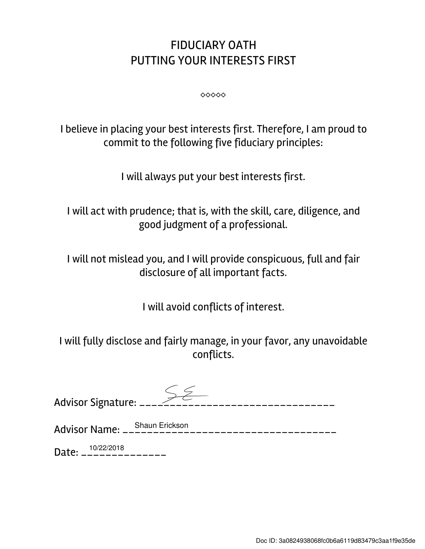## FIDUCIARY OATH PUTTING YOUR INTERESTS FIRST

⬥⬥⬥⬥⬥

I believe in placing your best interests first. Therefore, I am proud to commit to the following five fiduciary principles:

I will always put your best interests first.

I will act with prudence; that is, with the skill, care, diligence, and good judgment of a professional.

I will not mislead you, and I will provide conspicuous, full and fair disclosure of all important facts.

I will avoid conflicts of interest.

I will fully disclose and fairly manage, in your favor, any unavoidable conflicts.

| Advisor Signature: _____________ |                |
|----------------------------------|----------------|
|                                  | Shoun Erickson |

Advisor Name: \_\_\_\_\_\_\_\_\_\_\_\_\_\_\_\_\_\_\_\_\_\_\_\_\_\_\_\_\_\_\_\_\_\_\_ Shaun Erickson

Date: \_\_\_\_\_\_\_\_\_\_\_\_\_\_ 10/22/2018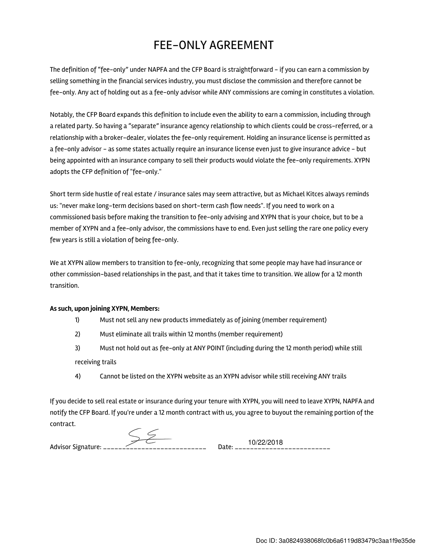## FEE-ONLY AGREEMENT

The definition of "fee-only" under NAPFA and the CFP Board is straightforward - if you can earn a commission by selling something in the financial services industry, you must disclose the commission and therefore cannot be fee-only. Any act of holding out as a fee-only advisor while ANY commissions are coming in constitutes a violation.

Notably, the CFP Board expands this definition to include even the ability to earn a commission, including through a related party. So having a "separate" insurance agency relationship to which clients could be cross-referred, or a relationship with a broker-dealer, violates the fee-only requirement. Holding an insurance license is permitted as a fee-only advisor - as some states actually require an insurance license even just to give insurance advice - but being appointed with an insurance company to sell their products would violate the fee-only requirements. XYPN adopts the CFP definition of "fee-only."

Short term side hustle of real estate / insurance sales may seem attractive, but as Michael Kitces always reminds us: "never make long-term decisions based on short-term cash flow needs". If you need to work on a commissioned basis before making the transition to fee-only advising and XYPN that is your choice, but to be a member of XYPN and a fee-only advisor, the commissions have to end. Even just selling the rare one policy every few years is still a violation of being fee-only.

We at XYPN allow members to transition to fee-only, recognizing that some people may have had insurance or other commission-based relationships in the past, and that it takes time to transition. We allow for a 12 month transition.

## As such, upon joining XYPN, Members:

- 1) Must not sell any new products immediately as of joining (member requirement)
- 2) Must eliminate all trails within 12 months (member requirement)
- 3) Must not hold out as fee-only at ANY POINT (including during the 12 month period) while still receiving trails
- 4) Cannot be listed on the XYPN website as an XYPN advisor while still receiving ANY trails

If you decide to sell real estate or insurance during your tenure with XYPN, you will need to leave XYPN, NAPFA and notify the CFP Board. If you're under a 12 month contract with us, you agree to buyout the remaining portion of the contract.

| <b>Advisor Signature:</b> | _________ |  |
|---------------------------|-----------|--|